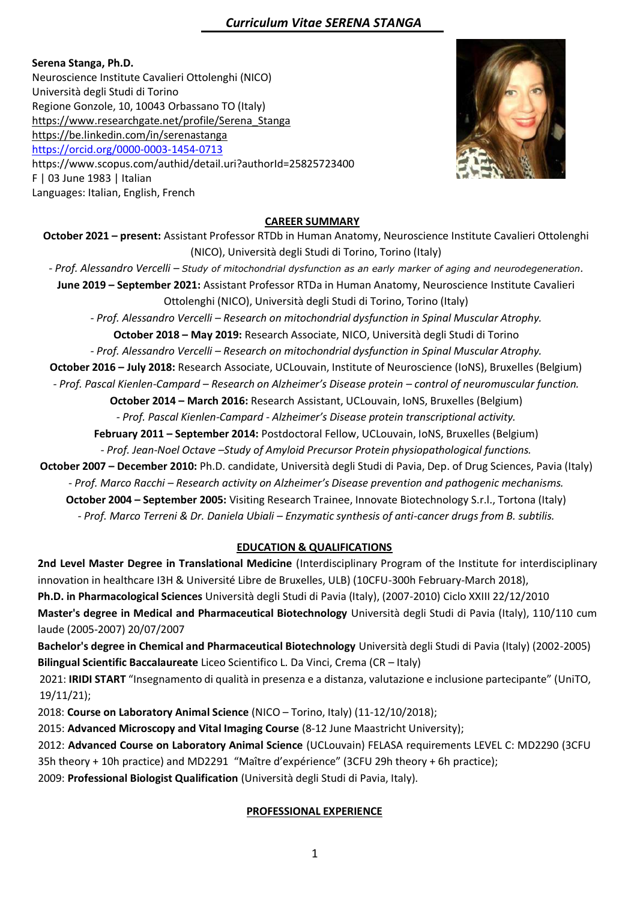**Serena Stanga, Ph.D.** Neuroscience Institute Cavalieri Ottolenghi (NICO) Università degli Studi di Torino Regione Gonzole, 10, 10043 Orbassano TO (Italy) [https://www.researchgate.net/profile/Serena\\_Stanga](https://www.researchgate.net/profile/Serena_Stanga) <https://be.linkedin.com/in/serenastanga> <https://orcid.org/0000-0003-1454-0713> https://www.scopus.com/authid/detail.uri?authorId=25825723400 F | 03 June 1983 | Italian Languages: Italian, English, French



#### **CAREER SUMMARY**

**October 2021 – present:** Assistant Professor RTDb in Human Anatomy, Neuroscience Institute Cavalieri Ottolenghi (NICO), Università degli Studi di Torino, Torino (Italy)

*- Prof. Alessandro Vercelli – Study of mitochondrial dysfunction as an early marker of aging and neurodegeneration.*

**June 2019 – September 2021:** Assistant Professor RTDa in Human Anatomy, Neuroscience Institute Cavalieri Ottolenghi (NICO), Università degli Studi di Torino, Torino (Italy)

*- Prof. Alessandro Vercelli – Research on mitochondrial dysfunction in Spinal Muscular Atrophy.*

**October 2018 – May 2019:** Research Associate, NICO, Università degli Studi di Torino

*- Prof. Alessandro Vercelli – Research on mitochondrial dysfunction in Spinal Muscular Atrophy.*

**October 2016 – July 2018:** Research Associate, UCLouvain, Institute of Neuroscience (IoNS), Bruxelles (Belgium)

*- Prof. Pascal Kienlen-Campard – Research on Alzheimer's Disease protein – control of neuromuscular function.*

**October 2014 – March 2016:** Research Assistant, UCLouvain, IoNS, Bruxelles (Belgium)

*- Prof. Pascal Kienlen-Campard - Alzheimer's Disease protein transcriptional activity.*

**February 2011 – September 2014:** Postdoctoral Fellow, UCLouvain, IoNS, Bruxelles (Belgium) *- Prof. Jean-Noel Octave –Study of Amyloid Precursor Protein physiopathological functions.*

**October 2007 – December 2010:** Ph.D. candidate, Università degli Studi di Pavia, Dep. of Drug Sciences, Pavia (Italy) *- Prof. Marco Racchi – Research activity on Alzheimer's Disease prevention and pathogenic mechanisms.* **October 2004 – September 2005:** Visiting Research Trainee, Innovate Biotechnology S.r.l., Tortona (Italy) *- Prof. Marco Terreni & Dr. Daniela Ubiali – Enzymatic synthesis of anti-cancer drugs from B. subtilis.*

## **EDUCATION & QUALIFICATIONS**

**2nd Level Master Degree in Translational Medicine** (Interdisciplinary Program of the Institute for interdisciplinary innovation in healthcare I3H & Université Libre de Bruxelles, ULB) (10CFU-300h February-March 2018), **Ph.D. in Pharmacological Sciences** Università degli Studi di Pavia (Italy), (2007-2010) Ciclo XXIII 22/12/2010

**Master's degree in Medical and Pharmaceutical Biotechnology** Università degli Studi di Pavia (Italy), 110/110 cum laude (2005-2007) 20/07/2007

**Bachelor's degree in Chemical and Pharmaceutical Biotechnology** Università degli Studi di Pavia (Italy) (2002-2005) **Bilingual Scientific Baccalaureate** Liceo Scientifico L. Da Vinci, Crema (CR – Italy)

2021: **IRIDI START** "Insegnamento di qualità in presenza e a distanza, valutazione e inclusione partecipante" (UniTO, 19/11/21);

2018: **Course on Laboratory Animal Science** (NICO – Torino, Italy) (11-12/10/2018);

2015: **Advanced Microscopy and Vital Imaging Course** (8-12 June Maastricht University);

2012: **Advanced Course on Laboratory Animal Science** (UCLouvain) FELASA requirements LEVEL C: MD2290 (3CFU 35h theory + 10h practice) and MD2291 "Maître d'expérience" (3CFU 29h theory + 6h practice);

2009: **Professional Biologist Qualification** (Università degli Studi di Pavia, Italy).

## **PROFESSIONAL EXPERIENCE**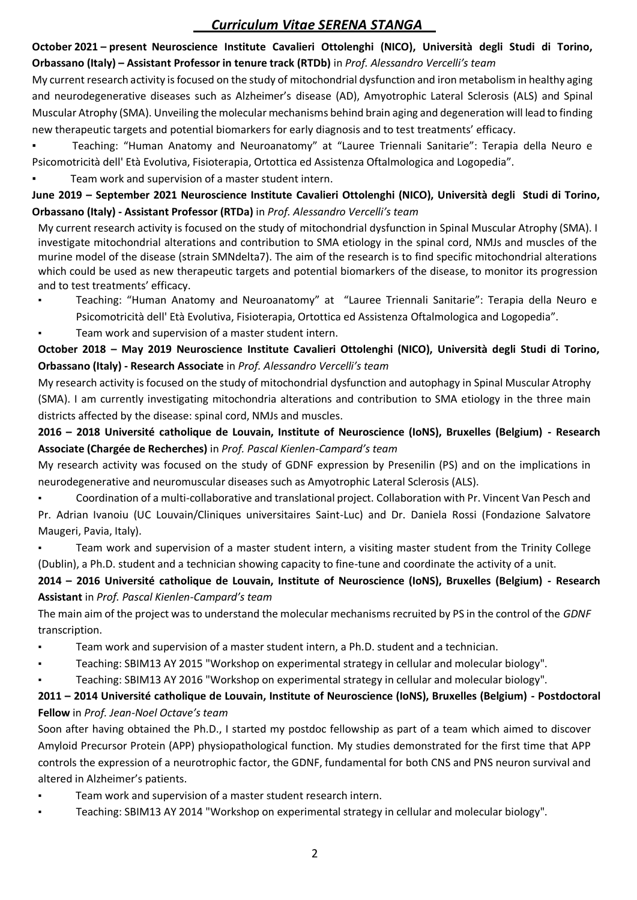## **October 2021 – present Neuroscience Institute Cavalieri Ottolenghi (NICO), Università degli Studi di Torino, Orbassano (Italy) – Assistant Professor in tenure track (RTDb)** in *Prof. Alessandro Vercelli's team*

My current research activity is focused on the study of mitochondrial dysfunction and iron metabolism in healthy aging and neurodegenerative diseases such as Alzheimer's disease (AD), Amyotrophic Lateral Sclerosis (ALS) and Spinal Muscular Atrophy (SMA). Unveiling the molecular mechanisms behind brain aging and degeneration will lead to finding new therapeutic targets and potential biomarkers for early diagnosis and to test treatments' efficacy.

- Teaching: "Human Anatomy and Neuroanatomy" at "Lauree Triennali Sanitarie": Terapia della Neuro e Psicomotricità dell' Età Evolutiva, Fisioterapia, Ortottica ed Assistenza Oftalmologica and Logopedia".
- Team work and supervision of a master student intern.

## **June 2019 – September 2021 Neuroscience Institute Cavalieri Ottolenghi (NICO), Università degli Studi di Torino, Orbassano (Italy) - Assistant Professor (RTDa)** in *Prof. Alessandro Vercelli's team*

My current research activity is focused on the study of mitochondrial dysfunction in Spinal Muscular Atrophy (SMA). I investigate mitochondrial alterations and contribution to SMA etiology in the spinal cord, NMJs and muscles of the murine model of the disease (strain SMNdelta7). The aim of the research is to find specific mitochondrial alterations which could be used as new therapeutic targets and potential biomarkers of the disease, to monitor its progression and to test treatments' efficacy.

- Teaching: "Human Anatomy and Neuroanatomy" at "Lauree Triennali Sanitarie": Terapia della Neuro e Psicomotricità dell' Età Evolutiva, Fisioterapia, Ortottica ed Assistenza Oftalmologica and Logopedia".
- Team work and supervision of a master student intern.

## **October 2018 – May 2019 Neuroscience Institute Cavalieri Ottolenghi (NICO), Università degli Studi di Torino, Orbassano (Italy) - Research Associate** in *Prof. Alessandro Vercelli's team*

My research activity is focused on the study of mitochondrial dysfunction and autophagy in Spinal Muscular Atrophy (SMA). I am currently investigating mitochondria alterations and contribution to SMA etiology in the three main districts affected by the disease: spinal cord, NMJs and muscles.

## **2016 – 2018 Université catholique de Louvain, Institute of Neuroscience (IoNS), Bruxelles (Belgium) - Research Associate (Chargée de Recherches)** in *Prof. Pascal Kienlen-Campard's team*

My research activity was focused on the study of GDNF expression by Presenilin (PS) and on the implications in neurodegenerative and neuromuscular diseases such as Amyotrophic Lateral Sclerosis (ALS).

Coordination of a multi-collaborative and translational project. Collaboration with Pr. Vincent Van Pesch and Pr. Adrian Ivanoiu (UC Louvain/Cliniques universitaires Saint-Luc) and Dr. Daniela Rossi (Fondazione Salvatore Maugeri, Pavia, Italy).

Team work and supervision of a master student intern, a visiting master student from the Trinity College (Dublin), a Ph.D. student and a technician showing capacity to fine-tune and coordinate the activity of a unit.

## **2014 – 2016 Université catholique de Louvain, Institute of Neuroscience (IoNS), Bruxelles (Belgium) - Research Assistant** in *Prof. Pascal Kienlen-Campard's team*

The main aim of the project was to understand the molecular mechanisms recruited by PS in the control of the *GDNF*  transcription.

- Team work and supervision of a master student intern, a Ph.D. student and a technician.
- Teaching: SBIM13 AY 2015 "Workshop on experimental strategy in cellular and molecular biology".
- Teaching: SBIM13 AY 2016 "Workshop on experimental strategy in cellular and molecular biology".

## **2011 – 2014 Université catholique de Louvain, Institute of Neuroscience (IoNS), Bruxelles (Belgium) - Postdoctoral Fellow** in *Prof. Jean-Noel Octave's team*

Soon after having obtained the Ph.D., I started my postdoc fellowship as part of a team which aimed to discover Amyloid Precursor Protein (APP) physiopathological function. My studies demonstrated for the first time that APP controls the expression of a neurotrophic factor, the GDNF, fundamental for both CNS and PNS neuron survival and altered in Alzheimer's patients.

- Team work and supervision of a master student research intern.
- Teaching: SBIM13 AY 2014 "Workshop on experimental strategy in cellular and molecular biology".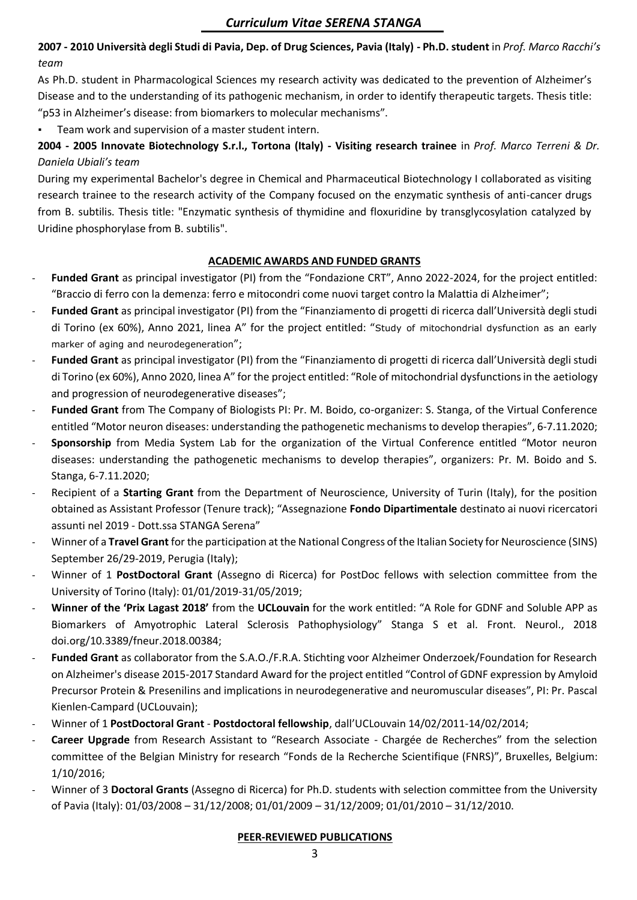**2007 - 2010 Università degli Studi di Pavia, Dep. of Drug Sciences, Pavia (Italy) - Ph.D. student** in *Prof. Marco Racchi's team*

As Ph.D. student in Pharmacological Sciences my research activity was dedicated to the prevention of Alzheimer's Disease and to the understanding of its pathogenic mechanism, in order to identify therapeutic targets. Thesis title: "p53 in Alzheimer's disease: from biomarkers to molecular mechanisms".

Team work and supervision of a master student intern.

**2004 - 2005 Innovate Biotechnology S.r.l., Tortona (Italy) - Visiting research trainee** in *Prof. Marco Terreni & Dr. Daniela Ubiali's team*

During my experimental Bachelor's degree in Chemical and Pharmaceutical Biotechnology I collaborated as visiting research trainee to the research activity of the Company focused on the enzymatic synthesis of anti-cancer drugs from B. subtilis. Thesis title: "Enzymatic synthesis of thymidine and floxuridine by transglycosylation catalyzed by Uridine phosphorylase from B. subtilis".

## **ACADEMIC AWARDS AND FUNDED GRANTS**

- **Funded Grant** as principal investigator (PI) from the "Fondazione CRT", Anno 2022-2024, for the project entitled: "Braccio di ferro con la demenza: ferro e mitocondri come nuovi target contro la Malattia di Alzheimer";
- **Funded Grant** as principal investigator (PI) from the "Finanziamento di progetti di ricerca dall'Università degli studi di Torino (ex 60%), Anno 2021, linea A" for the project entitled: "Study of mitochondrial dysfunction as an early marker of aging and neurodegeneration";
- **Funded Grant** as principal investigator (PI) from the "Finanziamento di progetti di ricerca dall'Università degli studi di Torino (ex 60%), Anno 2020, linea A" for the project entitled: "Role of mitochondrial dysfunctions in the aetiology and progression of neurodegenerative diseases";
- Funded Grant from The Company of Biologists PI: Pr. M. Boido, co-organizer: S. Stanga, of the Virtual Conference entitled "Motor neuron diseases: understanding the pathogenetic mechanisms to develop therapies", 6-7.11.2020;
- **Sponsorship** from Media System Lab for the organization of the Virtual Conference entitled "Motor neuron diseases: understanding the pathogenetic mechanisms to develop therapies", organizers: Pr. M. Boido and S. Stanga, 6-7.11.2020;
- Recipient of a **Starting Grant** from the Department of Neuroscience, University of Turin (Italy), for the position obtained as Assistant Professor (Tenure track); "Assegnazione **Fondo Dipartimentale** destinato ai nuovi ricercatori assunti nel 2019 - Dott.ssa STANGA Serena"
- Winner of a **Travel Grant** for the participation at the National Congress of the Italian Society for Neuroscience (SINS) September 26/29-2019, Perugia (Italy);
- Winner of 1 **PostDoctoral Grant** (Assegno di Ricerca) for PostDoc fellows with selection committee from the University of Torino (Italy): 01/01/2019-31/05/2019;
- **Winner of the 'Prix Lagast 2018'** from the **UCLouvain** for the work entitled: "A Role for GDNF and Soluble APP as Biomarkers of Amyotrophic Lateral Sclerosis Pathophysiology" Stanga S et al. Front. Neurol., 2018 doi.org/10.3389/fneur.2018.00384;
- **Funded Grant** as collaborator from the S.A.O./F.R.A. Stichting voor Alzheimer Onderzoek/Foundation for Research on Alzheimer's disease 2015-2017 Standard Award for the project entitled "Control of GDNF expression by Amyloid Precursor Protein & Presenilins and implications in neurodegenerative and neuromuscular diseases", PI: Pr. Pascal Kienlen-Campard (UCLouvain);
- Winner of 1 **PostDoctoral Grant Postdoctoral fellowship**, dall'UCLouvain 14/02/2011-14/02/2014;
- **Career Upgrade** from Research Assistant to "Research Associate Chargée de Recherches" from the selection committee of the Belgian Ministry for research "Fonds de la Recherche Scientifique (FNRS)", Bruxelles, Belgium: 1/10/2016;
- Winner of 3 **Doctoral Grants** (Assegno di Ricerca) for Ph.D. students with selection committee from the University of Pavia (Italy): 01/03/2008 – 31/12/2008; 01/01/2009 – 31/12/2009; 01/01/2010 – 31/12/2010.

### **PEER-REVIEWED PUBLICATIONS**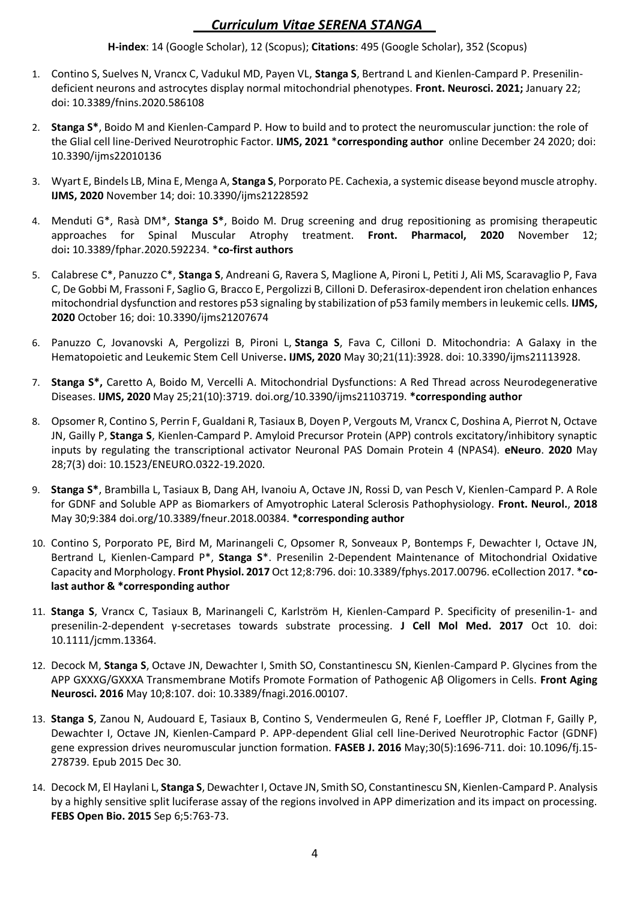**H-index**: 14 (Google Scholar), 12 (Scopus); **Citations**: 495 (Google Scholar), 352 (Scopus)

- 1. Contino S, Suelves N, Vrancx C, Vadukul MD, Payen VL, **Stanga S**, Bertrand L and Kienlen-Campard P. Presenilindeficient neurons and astrocytes display normal mitochondrial phenotypes. **Front. Neurosci. 2021;** January 22; doi: 10.3389/fnins.2020.586108
- 2. **Stanga S\***, Boido M and Kienlen-Campard P. How to build and to protect the neuromuscular junction: the role of the Glial cell line-Derived Neurotrophic Factor. **IJMS, 2021** \***corresponding author** online December 24 2020; doi: 10.3390/ijms22010136
- 3. Wyart E, Bindels LB, Mina E, Menga A, **Stanga S**, Porporato PE. Cachexia, a systemic disease beyond muscle atrophy. **IJMS, 2020** November 14; doi: [10.3390/ijms21228592](https://doi.org/10.3390/ijms21228592)
- 4. Menduti G\*, Rasà DM\*, **Stanga S\***, Boido M. Drug screening and drug repositioning as promising therapeutic approaches for Spinal Muscular Atrophy treatment. **Front. Pharmacol, 2020** November 12; doi**:** 10.3389/fphar.2020.592234. \***co-first authors**
- 5. Calabrese C\*, Panuzzo C\*, **Stanga S**, Andreani G, Ravera S, Maglione A, Pironi L, Petiti J, Ali MS, Scaravaglio P, Fava C, De Gobbi M, Frassoni F, Saglio G, Bracco E, Pergolizzi B, Cilloni D. Deferasirox-dependent iron chelation enhances mitochondrial dysfunction and restores p53 signaling by stabilization of p53 family members in leukemic cells. **IJMS, 2020** October 16; doi: 10.3390/ijms21207674
- 6. Panuzzo C, Jovanovski A, Pergolizzi B, Pironi L, **Stanga S**, Fava C, Cilloni D. Mitochondria: A Galaxy in the Hematopoietic and Leukemic Stem Cell Universe**. IJMS, 2020** May 30;21(11):3928. doi: 10.3390/ijms21113928.
- 7. **Stanga S\*,** Caretto A, Boido M, Vercelli A. Mitochondrial Dysfunctions: A Red Thread across Neurodegenerative Diseases. **IJMS, 2020** May 25;21(10):3719. doi.org/10.3390/ijms21103719. **\*corresponding author**
- 8. Opsomer R, Contino S, Perrin F, Gualdani R, Tasiaux B, Doyen P, Vergouts M, Vrancx C, Doshina A, Pierrot N, Octave JN, Gailly P, **Stanga S**, Kienlen-Campard P. Amyloid Precursor Protein (APP) controls excitatory/inhibitory synaptic inputs by regulating the transcriptional activator Neuronal PAS Domain Protein 4 (NPAS4). **eNeuro**. **2020** May 28;7(3) doi: 10.1523/ENEURO.0322-19.2020.
- 9. **Stanga S\***, Brambilla L, Tasiaux B, Dang AH, Ivanoiu A, Octave JN, Rossi D, van Pesch V, Kienlen-Campard P. A Role for GDNF and Soluble APP as Biomarkers of Amyotrophic Lateral Sclerosis Pathophysiology. **Front. Neurol.**, **2018**  May 30;9:384 doi.org/10.3389/fneur.2018.00384. **\*corresponding author**
- 10. Contino S, Porporato PE, Bird M, Marinangeli C, Opsomer R, Sonveaux P, Bontemps F, Dewachter I, Octave JN, Bertrand L, Kienlen-Campard P\*, **Stanga S**\*. Presenilin 2-Dependent Maintenance of Mitochondrial Oxidative Capacity and Morphology. **Front Physiol. 2017** Oct 12;8:796. doi: 10.3389/fphys.2017.00796. eCollection 2017. \***colast author & \*corresponding author**
- 11. **Stanga S**, Vrancx C, Tasiaux B, Marinangeli C, Karlström H, Kienlen-Campard P. Specificity of presenilin-1- and presenilin-2-dependent γ-secretases towards substrate processing. **J Cell Mol Med. 2017** Oct 10. doi: 10.1111/jcmm.13364.
- 12. Decock M, **Stanga S**, Octave JN, Dewachter I, Smith SO, Constantinescu SN, Kienlen-Campard P. Glycines from the APP GXXXG/GXXXA Transmembrane Motifs Promote Formation of Pathogenic Aβ Oligomers in Cells. **Front Aging Neurosci. 2016** May 10;8:107. doi: 10.3389/fnagi.2016.00107.
- 13. **Stanga S**, Zanou N, Audouard E, Tasiaux B, Contino S, Vendermeulen G, René F, Loeffler JP, Clotman F, Gailly P, Dewachter I, Octave JN, Kienlen-Campard P. APP-dependent Glial cell line-Derived Neurotrophic Factor (GDNF) gene expression drives neuromuscular junction formation. **FASEB J. 2016** May;30(5):1696-711. doi: 10.1096/fj.15- 278739. Epub 2015 Dec 30.
- 14. Decock M, El Haylani L, **Stanga S**, Dewachter I, Octave JN, Smith SO, Constantinescu SN, Kienlen-Campard P. Analysis by a highly sensitive split luciferase assay of the regions involved in APP dimerization and its impact on processing. **FEBS Open Bio. 2015** Sep 6;5:763-73.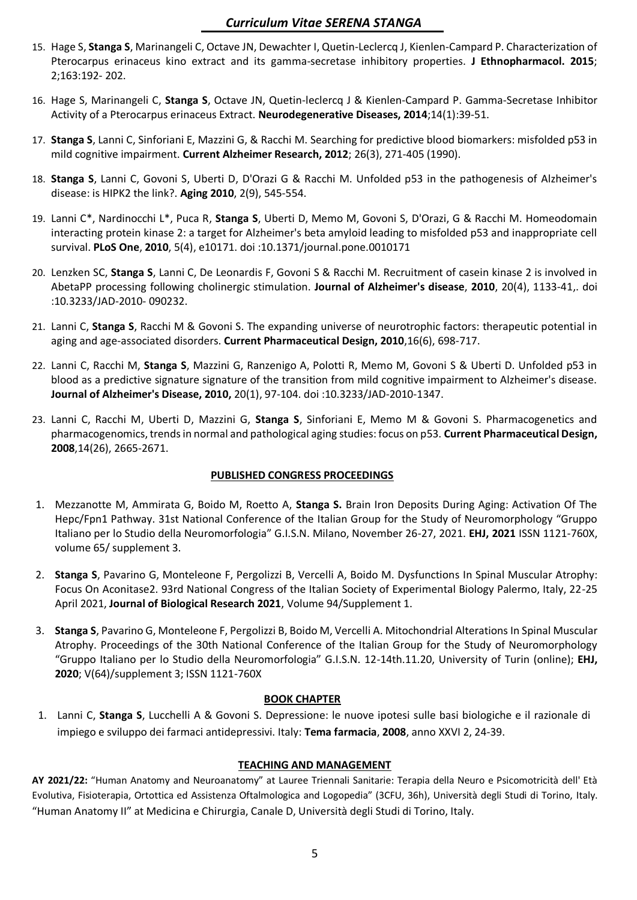- 15. Hage S, **Stanga S**, Marinangeli C, Octave JN, Dewachter I, Quetin-Leclercq J, Kienlen-Campard P. Characterization of Pterocarpus erinaceus kino extract and its gamma-secretase inhibitory properties. **J Ethnopharmacol. 2015**; 2;163:192- 202.
- 16. Hage S, Marinangeli C, **Stanga S**, Octave JN, Quetin-leclercq J & Kienlen-Campard P. Gamma-Secretase Inhibitor Activity of a Pterocarpus erinaceus Extract. **Neurodegenerative Diseases, 2014**;14(1):39-51.
- 17. **Stanga S**, Lanni C, Sinforiani E, Mazzini G, & Racchi M. Searching for predictive blood biomarkers: misfolded p53 in mild cognitive impairment. **Current Alzheimer Research, 2012**; 26(3), 271-405 (1990).
- 18. **Stanga S**, Lanni C, Govoni S, Uberti D, D'Orazi G & Racchi M. Unfolded p53 in the pathogenesis of Alzheimer's disease: is HIPK2 the link?. **Aging 2010**, 2(9), 545-554.
- 19. Lanni C\*, Nardinocchi L\*, Puca R, **Stanga S**, Uberti D, Memo M, Govoni S, D'Orazi, G & Racchi M. Homeodomain interacting protein kinase 2: a target for Alzheimer's beta amyloid leading to misfolded p53 and inappropriate cell survival. **PLoS One**, **2010**, 5(4), e10171. doi :10.1371/journal.pone.0010171
- 20. Lenzken SC, **Stanga S**, Lanni C, De Leonardis F, Govoni S & Racchi M. Recruitment of casein kinase 2 is involved in AbetaPP processing following cholinergic stimulation. **Journal of Alzheimer's disease**, **2010**, 20(4), 1133-41,. doi :10.3233/JAD-2010- 090232.
- 21. Lanni C, **Stanga S**, Racchi M & Govoni S. The expanding universe of neurotrophic factors: therapeutic potential in aging and age-associated disorders. **Current Pharmaceutical Design, 2010**,16(6), 698-717.
- 22. Lanni C, Racchi M, **Stanga S**, Mazzini G, Ranzenigo A, Polotti R, Memo M, Govoni S & Uberti D. Unfolded p53 in blood as a predictive signature signature of the transition from mild cognitive impairment to Alzheimer's disease. **Journal of Alzheimer's Disease, 2010,** 20(1), 97-104. doi :10.3233/JAD-2010-1347.
- 23. Lanni C, Racchi M, Uberti D, Mazzini G, **Stanga S**, Sinforiani E, Memo M & Govoni S. Pharmacogenetics and pharmacogenomics, trends in normal and pathological aging studies: focus on p53. **Current Pharmaceutical Design, 2008**,14(26), 2665-2671.

## **PUBLISHED CONGRESS PROCEEDINGS**

- 1. Mezzanotte M, Ammirata G, Boido M, Roetto A, **Stanga S.** Brain Iron Deposits During Aging: Activation Of The Hepc/Fpn1 Pathway. 31st National Conference of the Italian Group for the Study of Neuromorphology "Gruppo Italiano per lo Studio della Neuromorfologia" G.I.S.N. Milano, November 26-27, 2021. **EHJ, 2021** ISSN 1121-760X, volume 65/ supplement 3.
- 2. **Stanga S**, Pavarino G, Monteleone F, Pergolizzi B, Vercelli A, Boido M. Dysfunctions In Spinal Muscular Atrophy: Focus On Aconitase2. 93rd National Congress of the Italian Society of Experimental Biology Palermo, Italy, 22-25 April 2021, **Journal of Biological Research 2021**, Volume 94/Supplement 1.
- 3. **Stanga S**, Pavarino G, Monteleone F, Pergolizzi B, Boido M, Vercelli A. Mitochondrial Alterations In Spinal Muscular Atrophy. Proceedings of the 30th National Conference of the Italian Group for the Study of Neuromorphology "Gruppo Italiano per lo Studio della Neuromorfologia" G.I.S.N. 12-14th.11.20, University of Turin (online); **EHJ, 2020**; V(64)/supplement 3; ISSN 1121-760X

### **BOOK CHAPTER**

1. Lanni C, **Stanga S**, Lucchelli A & Govoni S. Depressione: le nuove ipotesi sulle basi biologiche e il razionale di impiego e sviluppo dei farmaci antidepressivi. Italy: **Tema farmacia**, **2008**, anno XXVI 2, 24-39.

### **TEACHING AND MANAGEMENT**

**AY 2021/22:** "Human Anatomy and Neuroanatomy" at Lauree Triennali Sanitarie: Terapia della Neuro e Psicomotricità dell' Età Evolutiva, Fisioterapia, Ortottica ed Assistenza Oftalmologica and Logopedia" (3CFU, 36h), Università degli Studi di Torino, Italy. "Human Anatomy II" at Medicina e Chirurgia, Canale D, Università degli Studi di Torino, Italy.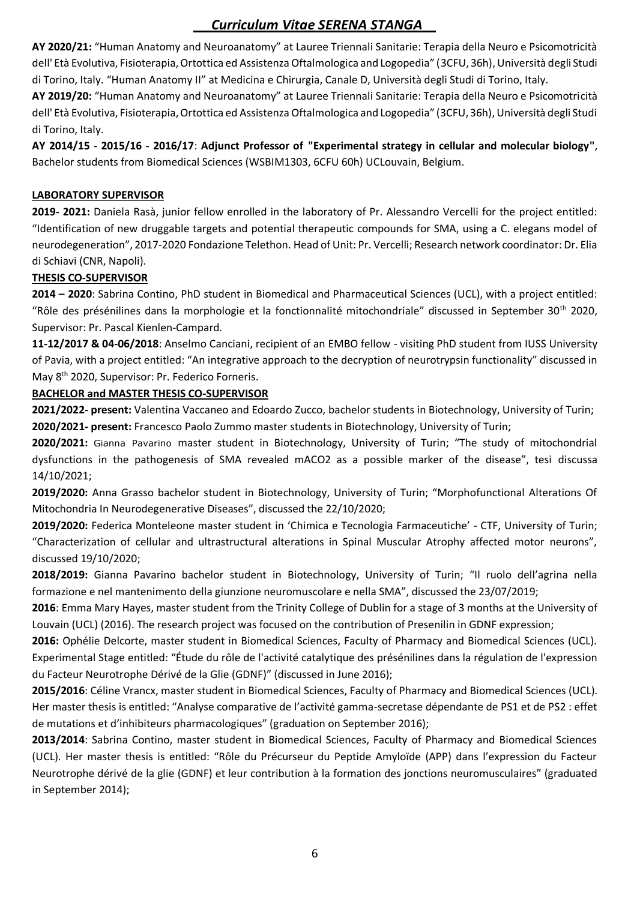**AY 2020/21:** "Human Anatomy and Neuroanatomy" at Lauree Triennali Sanitarie: Terapia della Neuro e Psicomotricità dell' Età Evolutiva, Fisioterapia, Ortottica ed Assistenza Oftalmologica and Logopedia" (3CFU, 36h), Università degli Studi di Torino, Italy. "Human Anatomy II" at Medicina e Chirurgia, Canale D, Università degli Studi di Torino, Italy.

**AY 2019/20:** "Human Anatomy and Neuroanatomy" at Lauree Triennali Sanitarie: Terapia della Neuro e Psicomotricità dell' Età Evolutiva, Fisioterapia, Ortottica ed Assistenza Oftalmologica and Logopedia" (3CFU, 36h), Università degli Studi di Torino, Italy.

**AY 2014/15 - 2015/16 - 2016/17**: **Adjunct Professor of "Experimental strategy in cellular and molecular biology"**, Bachelor students from Biomedical Sciences (WSBIM1303, 6CFU 60h) UCLouvain, Belgium.

### **LABORATORY SUPERVISOR**

**2019- 2021:** Daniela Rasà, junior fellow enrolled in the laboratory of Pr. Alessandro Vercelli for the project entitled: "Identification of new druggable targets and potential therapeutic compounds for SMA, using a C. elegans model of neurodegeneration", 2017-2020 Fondazione Telethon. Head of Unit: Pr. Vercelli; Research network coordinator: Dr. Elia di Schiavi (CNR, Napoli).

#### **THESIS CO-SUPERVISOR**

**2014 – 2020**: Sabrina Contino, PhD student in Biomedical and Pharmaceutical Sciences (UCL), with a project entitled: "Rôle des présénilines dans la morphologie et la fonctionnalité mitochondriale" discussed in September 30th 2020, Supervisor: Pr. Pascal Kienlen-Campard.

**11-12/2017 & 04-06/2018**: Anselmo Canciani, recipient of an EMBO fellow - visiting PhD student from IUSS University of Pavia, with a project entitled: "An integrative approach to the decryption of neurotrypsin functionality" discussed in May 8<sup>th</sup> 2020, Supervisor: Pr. Federico Forneris.

### **BACHELOR and MASTER THESIS CO-SUPERVISOR**

**2021/2022- present:** Valentina Vaccaneo and Edoardo Zucco, bachelor students in Biotechnology, University of Turin; **2020/2021- present:** Francesco Paolo Zummo master students in Biotechnology, University of Turin;

**2020/2021:** Gianna Pavarino master student in Biotechnology, University of Turin; "The study of mitochondrial dysfunctions in the pathogenesis of SMA revealed mACO2 as a possible marker of the disease", tesi discussa 14/10/2021;

**2019/2020:** Anna Grasso bachelor student in Biotechnology, University of Turin; "Morphofunctional Alterations Of Mitochondria In Neurodegenerative Diseases", discussed the 22/10/2020;

**2019/2020:** Federica Monteleone master student in 'Chimica e Tecnologia Farmaceutiche' - CTF, University of Turin; "Characterization of cellular and ultrastructural alterations in Spinal Muscular Atrophy affected motor neurons", discussed 19/10/2020;

**2018/2019:** Gianna Pavarino bachelor student in Biotechnology, University of Turin; "Il ruolo dell'agrina nella formazione e nel mantenimento della giunzione neuromuscolare e nella SMA", discussed the 23/07/2019;

**2016**: Emma Mary Hayes, master student from the Trinity College of Dublin for a stage of 3 months at the University of Louvain (UCL) (2016). The research project was focused on the contribution of Presenilin in GDNF expression;

**2016:** Ophélie Delcorte, master student in Biomedical Sciences, Faculty of Pharmacy and Biomedical Sciences (UCL). Experimental Stage entitled: "Étude du rôle de l'activité catalytique des présénilines dans la régulation de l'expression du Facteur Neurotrophe Dérivé de la Glie (GDNF)" (discussed in June 2016);

**2015/2016**: Céline Vrancx, master student in Biomedical Sciences, Faculty of Pharmacy and Biomedical Sciences (UCL). Her master thesis is entitled: "Analyse comparative de l'activité gamma-secretase dépendante de PS1 et de PS2 : effet de mutations et d'inhibiteurs pharmacologiques" (graduation on September 2016);

**2013/2014**: Sabrina Contino, master student in Biomedical Sciences, Faculty of Pharmacy and Biomedical Sciences (UCL). Her master thesis is entitled: "Rôle du Précurseur du Peptide Amyloïde (APP) dans l'expression du Facteur Neurotrophe dérivé de la glie (GDNF) et leur contribution à la formation des jonctions neuromusculaires" (graduated in September 2014);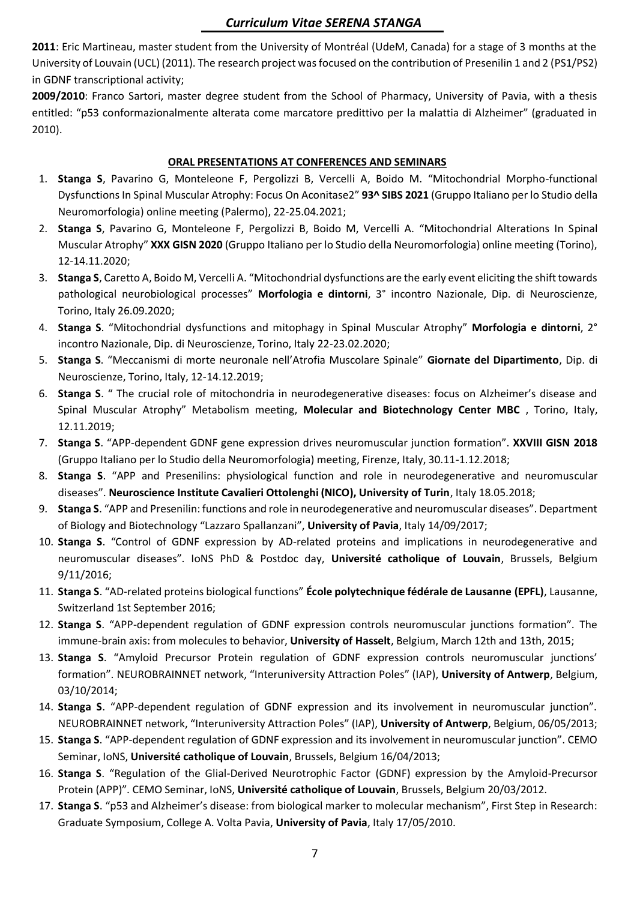**2011**: Eric Martineau, master student from the University of Montréal (UdeM, Canada) for a stage of 3 months at the University of Louvain (UCL) (2011). The research project was focused on the contribution of Presenilin 1 and 2 (PS1/PS2) in GDNF transcriptional activity;

**2009/2010**: Franco Sartori, master degree student from the School of Pharmacy, University of Pavia, with a thesis entitled: "p53 conformazionalmente alterata come marcatore predittivo per la malattia di Alzheimer" (graduated in 2010).

### **ORAL PRESENTATIONS AT CONFERENCES AND SEMINARS**

- 1. **Stanga S**, Pavarino G, Monteleone F, Pergolizzi B, Vercelli A, Boido M. "Mitochondrial Morpho-functional Dysfunctions In Spinal Muscular Atrophy: Focus On Aconitase2" **93^ SIBS 2021** (Gruppo Italiano per lo Studio della Neuromorfologia) online meeting (Palermo), 22-25.04.2021;
- 2. **Stanga S**, Pavarino G, Monteleone F, Pergolizzi B, Boido M, Vercelli A. "Mitochondrial Alterations In Spinal Muscular Atrophy" **XXX GISN 2020** (Gruppo Italiano per lo Studio della Neuromorfologia) online meeting (Torino), 12-14.11.2020;
- 3. **Stanga S**, Caretto A, Boido M, Vercelli A. "Mitochondrial dysfunctions are the early event eliciting the shift towards pathological neurobiological processes" **Morfologia e dintorni**, 3° incontro Nazionale, Dip. di Neuroscienze, Torino, Italy 26.09.2020;
- 4. **Stanga S**. "Mitochondrial dysfunctions and mitophagy in Spinal Muscular Atrophy" **Morfologia e dintorni**, 2° incontro Nazionale, Dip. di Neuroscienze, Torino, Italy 22-23.02.2020;
- 5. **Stanga S**. "Meccanismi di morte neuronale nell'Atrofia Muscolare Spinale" **Giornate del Dipartimento**, Dip. di Neuroscienze, Torino, Italy, 12-14.12.2019;
- 6. **Stanga S**. " The crucial role of mitochondria in neurodegenerative diseases: focus on Alzheimer's disease and Spinal Muscular Atrophy" Metabolism meeting, **Molecular and Biotechnology Center MBC** , Torino, Italy, 12.11.2019;
- 7. **Stanga S**. "APP-dependent GDNF gene expression drives neuromuscular junction formation". **XXVIII GISN 2018** (Gruppo Italiano per lo Studio della Neuromorfologia) meeting, Firenze, Italy, 30.11-1.12.2018;
- 8. **Stanga S**. "APP and Presenilins: physiological function and role in neurodegenerative and neuromuscular diseases". **Neuroscience Institute Cavalieri Ottolenghi (NICO), University of Turin**, Italy 18.05.2018;
- 9. **Stanga S**. "APP and Presenilin: functions and role in neurodegenerative and neuromuscular diseases". Department of Biology and Biotechnology "Lazzaro Spallanzani", **University of Pavia**, Italy 14/09/2017;
- 10. **Stanga S**. "Control of GDNF expression by AD-related proteins and implications in neurodegenerative and neuromuscular diseases". IoNS PhD & Postdoc day, **Université catholique of Louvain**, Brussels, Belgium 9/11/2016;
- 11. **Stanga S**. "AD-related proteins biological functions" **École polytechnique fédérale de Lausanne (EPFL)**, Lausanne, Switzerland 1st September 2016;
- 12. **Stanga S**. "APP-dependent regulation of GDNF expression controls neuromuscular junctions formation". The immune-brain axis: from molecules to behavior, **University of Hasselt**, Belgium, March 12th and 13th, 2015;
- 13. **Stanga S**. "Amyloid Precursor Protein regulation of GDNF expression controls neuromuscular junctions' formation". NEUROBRAINNET network, "Interuniversity Attraction Poles" (IAP), **University of Antwerp**, Belgium, 03/10/2014;
- 14. **Stanga S**. "APP-dependent regulation of GDNF expression and its involvement in neuromuscular junction". NEUROBRAINNET network, "Interuniversity Attraction Poles" (IAP), **University of Antwerp**, Belgium, 06/05/2013;
- 15. **Stanga S**. "APP-dependent regulation of GDNF expression and its involvement in neuromuscular junction". CEMO Seminar, IoNS, **Université catholique of Louvain**, Brussels, Belgium 16/04/2013;
- 16. **Stanga S**. "Regulation of the Glial-Derived Neurotrophic Factor (GDNF) expression by the Amyloid-Precursor Protein (APP)". CEMO Seminar, IoNS, **Université catholique of Louvain**, Brussels, Belgium 20/03/2012.
- 17. **Stanga S**. "p53 and Alzheimer's disease: from biological marker to molecular mechanism", First Step in Research: Graduate Symposium, College A. Volta Pavia, **University of Pavia**, Italy 17/05/2010.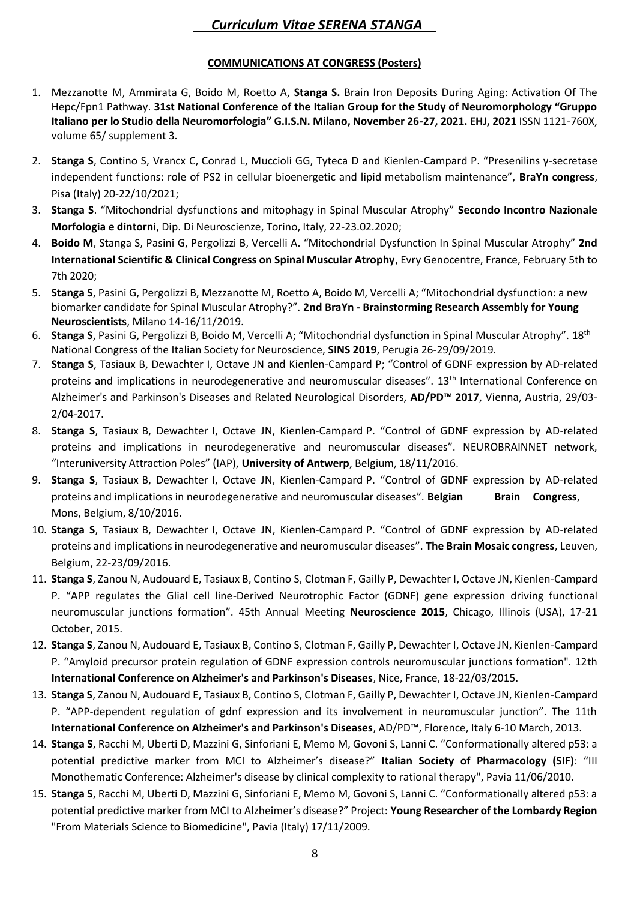### **COMMUNICATIONS AT CONGRESS (Posters)**

- 1. Mezzanotte M, Ammirata G, Boido M, Roetto A, **Stanga S.** Brain Iron Deposits During Aging: Activation Of The Hepc/Fpn1 Pathway. **31st National Conference of the Italian Group for the Study of Neuromorphology "Gruppo Italiano per lo Studio della Neuromorfologia" G.I.S.N. Milano, November 26-27, 2021. EHJ, 2021** ISSN 1121-760X, volume 65/ supplement 3.
- 2. **Stanga S**, Contino S, Vrancx C, Conrad L, Muccioli GG, Tyteca D and Kienlen-Campard P. "Presenilins γ-secretase independent functions: role of PS2 in cellular bioenergetic and lipid metabolism maintenance", **BraYn congress**, Pisa (Italy) 20-22/10/2021;
- 3. **Stanga S**. "Mitochondrial dysfunctions and mitophagy in Spinal Muscular Atrophy" **Secondo Incontro Nazionale Morfologia e dintorni**, Dip. Di Neuroscienze, Torino, Italy, 22-23.02.2020;
- 4. **Boido M**, Stanga S, Pasini G, Pergolizzi B, Vercelli A. "Mitochondrial Dysfunction In Spinal Muscular Atrophy" **2nd International Scientific & Clinical Congress on Spinal Muscular Atrophy**, Evry Genocentre, France, February 5th to 7th 2020;
- 5. **Stanga S**, Pasini G, Pergolizzi B, Mezzanotte M, Roetto A, Boido M, Vercelli A; "Mitochondrial dysfunction: a new biomarker candidate for Spinal Muscular Atrophy?". **2nd BraYn - Brainstorming Research Assembly for Young Neuroscientists**, Milano 14-16/11/2019.
- 6. **Stanga S**, Pasini G, Pergolizzi B, Boido M, Vercelli A; "Mitochondrial dysfunction in Spinal Muscular Atrophy". 18th National Congress of the Italian Society for Neuroscience, **SINS 2019**, Perugia 26-29/09/2019.
- 7. **Stanga S**, Tasiaux B, Dewachter I, Octave JN and Kienlen-Campard P; "Control of GDNF expression by AD-related proteins and implications in neurodegenerative and neuromuscular diseases". 13th International Conference on Alzheimer's and Parkinson's Diseases and Related Neurological Disorders, **AD/PD™ 2017**, Vienna, Austria, 29/03- 2/04-2017.
- 8. **Stanga S**, Tasiaux B, Dewachter I, Octave JN, Kienlen-Campard P. "Control of GDNF expression by AD-related proteins and implications in neurodegenerative and neuromuscular diseases". NEUROBRAINNET network, "Interuniversity Attraction Poles" (IAP), **University of Antwerp**, Belgium, 18/11/2016.
- 9. **Stanga S**, Tasiaux B, Dewachter I, Octave JN, Kienlen-Campard P. "Control of GDNF expression by AD-related proteins and implications in neurodegenerative and neuromuscular diseases". **Belgian Brain Congress**, Mons, Belgium, 8/10/2016.
- 10. **Stanga S**, Tasiaux B, Dewachter I, Octave JN, Kienlen-Campard P. "Control of GDNF expression by AD-related proteins and implications in neurodegenerative and neuromuscular diseases". **The Brain Mosaic congress**, Leuven, Belgium, 22-23/09/2016.
- 11. **Stanga S**, Zanou N, Audouard E, Tasiaux B, Contino S, Clotman F, Gailly P, Dewachter I, Octave JN, Kienlen-Campard P. "APP regulates the Glial cell line-Derived Neurotrophic Factor (GDNF) gene expression driving functional neuromuscular junctions formation". 45th Annual Meeting **Neuroscience 2015**, Chicago, Illinois (USA), 17-21 October, 2015.
- 12. **Stanga S**, Zanou N, Audouard E, Tasiaux B, Contino S, Clotman F, Gailly P, Dewachter I, Octave JN, Kienlen-Campard P. "Amyloid precursor protein regulation of GDNF expression controls neuromuscular junctions formation". 12th **International Conference on Alzheimer's and Parkinson's Diseases**, Nice, France, 18-22/03/2015.
- 13. **Stanga S**, Zanou N, Audouard E, Tasiaux B, Contino S, Clotman F, Gailly P, Dewachter I, Octave JN, Kienlen-Campard P. "APP-dependent regulation of gdnf expression and its involvement in neuromuscular junction". The 11th **International Conference on Alzheimer's and Parkinson's Diseases**, AD/PD™, Florence, Italy 6-10 March, 2013.
- 14. **Stanga S**, Racchi M, Uberti D, Mazzini G, Sinforiani E, Memo M, Govoni S, Lanni C. "Conformationally altered p53: a potential predictive marker from MCI to Alzheimer's disease?" **Italian Society of Pharmacology (SIF)**: "III Monothematic Conference: Alzheimer's disease by clinical complexity to rational therapy", Pavia 11/06/2010.
- 15. **Stanga S**, Racchi M, Uberti D, Mazzini G, Sinforiani E, Memo M, Govoni S, Lanni C. "Conformationally altered p53: a potential predictive marker from MCI to Alzheimer's disease?" Project: **Young Researcher of the Lombardy Region** "From Materials Science to Biomedicine", Pavia (Italy) 17/11/2009.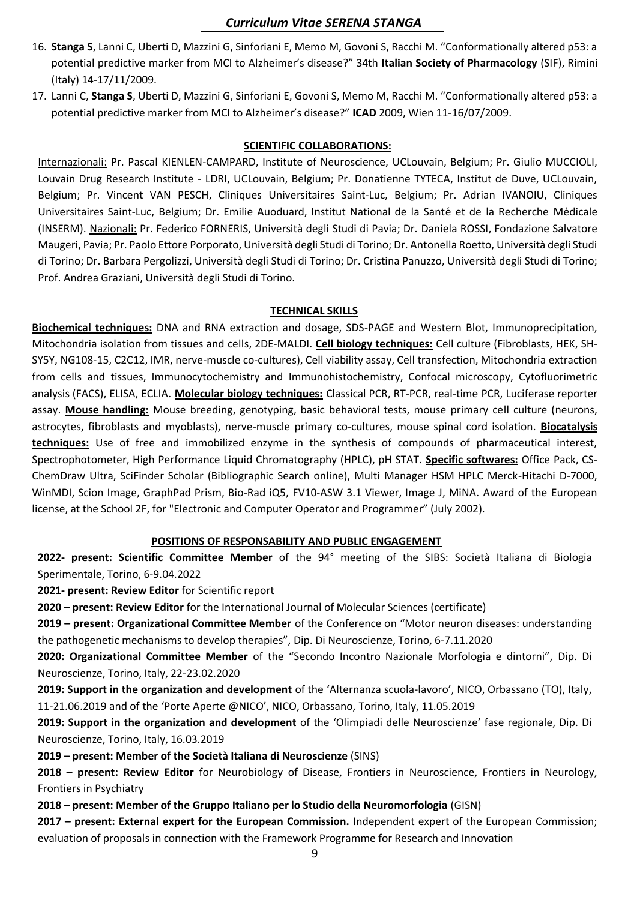- 16. **Stanga S**, Lanni C, Uberti D, Mazzini G, Sinforiani E, Memo M, Govoni S, Racchi M. "Conformationally altered p53: a potential predictive marker from MCI to Alzheimer's disease?" 34th **Italian Society of Pharmacology** (SIF), Rimini (Italy) 14-17/11/2009.
- 17. Lanni C, **Stanga S**, Uberti D, Mazzini G, Sinforiani E, Govoni S, Memo M, Racchi M. "Conformationally altered p53: a potential predictive marker from MCI to Alzheimer's disease?" **ICAD** 2009, Wien 11-16/07/2009.

#### **SCIENTIFIC COLLABORATIONS:**

Internazionali: Pr. Pascal KIENLEN-CAMPARD, Institute of Neuroscience, UCLouvain, Belgium; Pr. Giulio MUCCIOLI, Louvain Drug Research Institute - LDRI, UCLouvain, Belgium; Pr. Donatienne TYTECA, Institut de Duve, UCLouvain, Belgium; Pr. Vincent VAN PESCH, Cliniques Universitaires Saint-Luc, Belgium; Pr. Adrian IVANOIU, Cliniques Universitaires Saint-Luc, Belgium; Dr. Emilie Auoduard, Institut National de la Santé et de la Recherche Médicale (INSERM). Nazionali: Pr. Federico FORNERIS, Università degli Studi di Pavia; Dr. Daniela ROSSI, Fondazione Salvatore Maugeri, Pavia; Pr. Paolo Ettore Porporato, Università degli Studi di Torino; Dr. Antonella Roetto, Università degli Studi di Torino; Dr. Barbara Pergolizzi, Università degli Studi di Torino; Dr. Cristina Panuzzo, Università degli Studi di Torino; Prof. Andrea Graziani, Università degli Studi di Torino.

#### **TECHNICAL SKILLS**

**Biochemical techniques:** DNA and RNA extraction and dosage, SDS-PAGE and Western Blot, Immunoprecipitation, Mitochondria isolation from tissues and cells, 2DE-MALDI. **Cell biology techniques:** Cell culture (Fibroblasts, HEK, SH-SY5Y, NG108-15, C2C12, IMR, nerve-muscle co-cultures), Cell viability assay, Cell transfection, Mitochondria extraction from cells and tissues, Immunocytochemistry and Immunohistochemistry, Confocal microscopy, Cytofluorimetric analysis (FACS), ELISA, ECLIA. **Molecular biology techniques:** Classical PCR, RT-PCR, real-time PCR, Luciferase reporter assay. **Mouse handling:** Mouse breeding, genotyping, basic behavioral tests, mouse primary cell culture (neurons, astrocytes, fibroblasts and myoblasts), nerve-muscle primary co-cultures, mouse spinal cord isolation. **Biocatalysis techniques:** Use of free and immobilized enzyme in the synthesis of compounds of pharmaceutical interest, Spectrophotometer, High Performance Liquid Chromatography (HPLC), pH STAT. **Specific softwares:** Office Pack, CS-ChemDraw Ultra, SciFinder Scholar (Bibliographic Search online), Multi Manager HSM HPLC Merck-Hitachi D-7000, WinMDI, Scion Image, GraphPad Prism, Bio-Rad iQ5, FV10-ASW 3.1 Viewer, Image J, MiNA. Award of the European license, at the School 2F, for "Electronic and Computer Operator and Programmer" (July 2002).

### **POSITIONS OF RESPONSABILITY AND PUBLIC ENGAGEMENT**

**2022- present: Scientific Committee Member** of the 94° meeting of the SIBS: Società Italiana di Biologia Sperimentale, Torino, 6-9.04.2022

**2021- present: Review Editor** for Scientific report

**2020 – present: Review Editor** for the International Journal of Molecular Sciences (certificate)

**2019 – present: Organizational Committee Member** of the Conference on "Motor neuron diseases: understanding the pathogenetic mechanisms to develop therapies", Dip. Di Neuroscienze, Torino, 6-7.11.2020

**2020: Organizational Committee Member** of the "Secondo Incontro Nazionale Morfologia e dintorni", Dip. Di Neuroscienze, Torino, Italy, 22-23.02.2020

**2019: Support in the organization and development** of the 'Alternanza scuola-lavoro', NICO, Orbassano (TO), Italy, 11-21.06.2019 and of the 'Porte Aperte @NICO', NICO, Orbassano, Torino, Italy, 11.05.2019

**2019: Support in the organization and development** of the 'Olimpiadi delle Neuroscienze' fase regionale, Dip. Di Neuroscienze, Torino, Italy, 16.03.2019

**2019 – present: Member of the Società Italiana di Neuroscienze** (SINS)

**2018 – present: Review Editor** for Neurobiology of Disease, Frontiers in Neuroscience, Frontiers in Neurology, Frontiers in Psychiatry

**2018 – present: Member of the Gruppo Italiano per lo Studio della Neuromorfologia** (GISN)

**2017 – present: External expert for the European Commission.** Independent expert of the European Commission; evaluation of proposals in connection with the Framework Programme for Research and Innovation